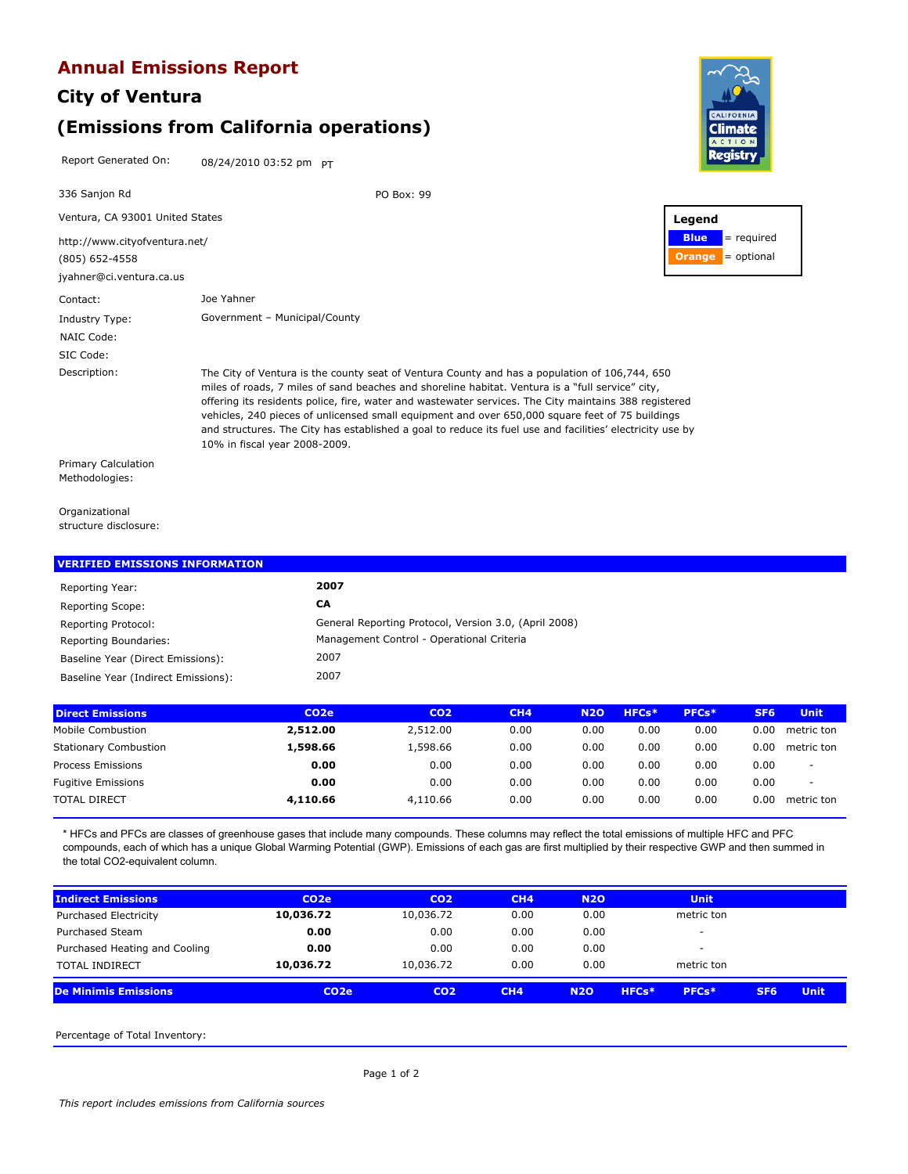### **Annual Emissions Report**

# **City of Ventura (Emissions from California operations)**

Report Generated On: 08/24/2010 03:52 pm PT



Organizational structure disclosure:

| <b>VERIFIED EMISSIONS INFORMATION</b> |                                                       |
|---------------------------------------|-------------------------------------------------------|
| Reporting Year:                       | 2007                                                  |
| Reporting Scope:                      | СA                                                    |
| Reporting Protocol:                   | General Reporting Protocol, Version 3.0, (April 2008) |
| Reporting Boundaries:                 | Management Control - Operational Criteria             |
| Baseline Year (Direct Emissions):     | 2007                                                  |
| Baseline Year (Indirect Emissions):   | 2007                                                  |

| <b>Direct Emissions</b>      | CO <sub>2</sub> e | CO <sub>2</sub> | CH <sub>4</sub> | <b>N20</b> | HFCs* | PFCs* | SF <sub>6</sub> | <b>Unit</b> |
|------------------------------|-------------------|-----------------|-----------------|------------|-------|-------|-----------------|-------------|
| Mobile Combustion            | 2,512.00          | 2,512.00        | 0.00            | 0.00       | 0.00  | 0.00  | 0.00            | metric ton  |
| <b>Stationary Combustion</b> | 1,598.66          | 1,598.66        | 0.00            | 0.00       | 0.00  | 0.00  | 0.00            | metric ton  |
| Process Emissions            | 0.00              | 0.00            | 0.00            | 0.00       | 0.00  | 0.00  | 0.00            | $\sim$      |
| <b>Fugitive Emissions</b>    | 0.00              | 0.00            | 0.00            | 0.00       | 0.00  | 0.00  | 0.00            |             |
| <b>TOTAL DIRECT</b>          | 4,110.66          | 4,110.66        | 0.00            | 0.00       | 0.00  | 0.00  | 0.00            | metric ton  |
|                              |                   |                 |                 |            |       |       |                 |             |

\* HFCs and PFCs are classes of greenhouse gases that include many compounds. These columns may reflect the total emissions of multiple HFC and PFC compounds, each of which has a unique Global Warming Potential (GWP). Emissions of each gas are first multiplied by their respective GWP and then summed in the total CO2-equivalent column.

| <b>Indirect Emissions</b>     | CO <sub>2</sub> e | CO <sub>2</sub> | CH4  | <b>N2O</b> | <b>Unit</b>              |                 |             |
|-------------------------------|-------------------|-----------------|------|------------|--------------------------|-----------------|-------------|
| <b>Purchased Electricity</b>  | 10,036.72         | 10,036.72       | 0.00 | 0.00       | metric ton               |                 |             |
| Purchased Steam               | 0.00              | 0.00            | 0.00 | 0.00       | $\overline{\phantom{a}}$ |                 |             |
| Purchased Heating and Cooling | 0.00              | 0.00            | 0.00 | 0.00       | $\overline{\phantom{a}}$ |                 |             |
| <b>TOTAL INDIRECT</b>         | 10,036.72         | 10,036.72       | 0.00 | 0.00       | metric ton               |                 |             |
| <b>De Minimis Emissions</b>   | CO <sub>2</sub> e | CO <sub>2</sub> | CH4  | <b>N2O</b> | PFCs*<br>HFCs*           | SF <sub>6</sub> | <b>Unit</b> |

Percentage of Total Inventory: